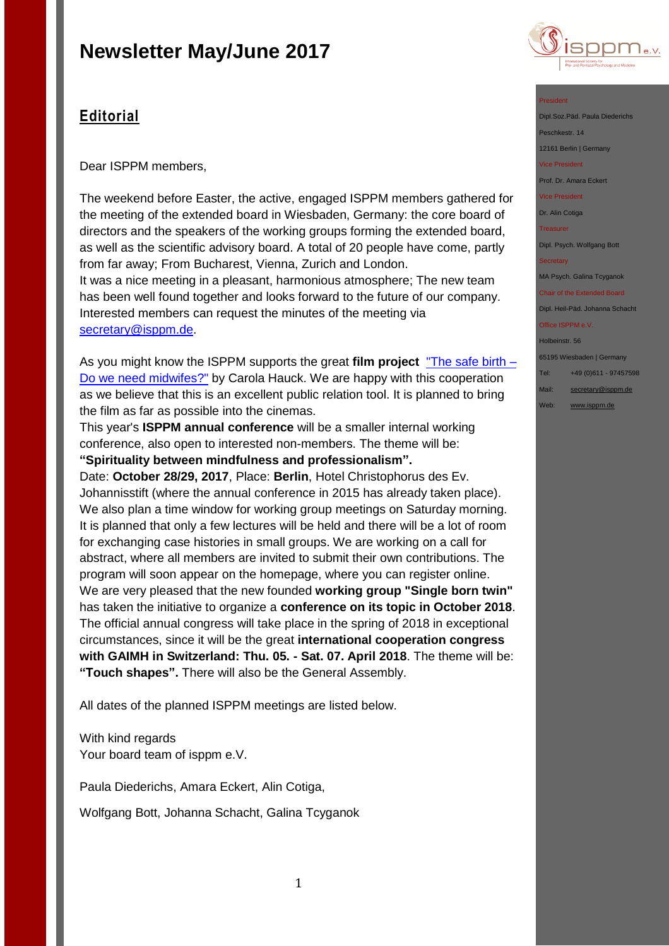

## **Editorial**

Dear ISPPM members,

The weekend before Easter, the active, engaged ISPPM members gathered for the meeting of the extended board in Wiesbaden, Germany: the core board of directors and the speakers of the working groups forming the extended board, as well as the scientific advisory board. A total of 20 people have come, partly from far away; From Bucharest, Vienna, Zurich and London. It was a nice meeting in a pleasant, harmonious atmosphere; The new team has been well found together and looks forward to the future of our company. Interested members can request the minutes of the meeting via [secretary@isppm.de.](mailto:secretary@isppm.de)

As you might know the ISPPM supports the great **film project** ["The safe birth –](http://the-safe-birth.com/) [Do we need midwifes?"](http://the-safe-birth.com/) by Carola Hauck. We are happy with this cooperation as we believe that this is an excellent public relation tool. It is planned to bring the film as far as possible into the cinemas.

This year's **ISPPM annual conference** will be a smaller internal working conference, also open to interested non-members. The theme will be: **"Spirituality between mindfulness and professionalism".**

Date: **October 28/29, 2017**, Place: **Berlin**, Hotel Christophorus des Ev. Johannisstift (where the annual conference in 2015 has already taken place). We also plan a time window for working group meetings on Saturday morning. It is planned that only a few lectures will be held and there will be a lot of room for exchanging case histories in small groups. We are working on a call for abstract, where all members are invited to submit their own contributions. The program will soon appear on the homepage, where you can register online. We are very pleased that the new founded **working group "Single born twin"** has taken the initiative to organize a **conference on its topic in October 2018**. The official annual congress will take place in the spring of 2018 in exceptional circumstances, since it will be the great **international cooperation congress with GAIMH in Switzerland: Thu. 05. - Sat. 07. April 2018**. The theme will be: **"Touch shapes".** There will also be the General Assembly.

All dates of the planned ISPPM meetings are listed below.

With kind regards Your board team of isppm e.V.

Paula Diederichs, Amara Eckert, Alin Cotiga,

Wolfgang Bott, Johanna Schacht, Galina Tcyganok

#### President

Dipl.Soz.Päd. Paula Diederichs

Peschkestr. 14

12161 Berlin | Germany Vice President

Prof. Dr. Amara Eckert

Vice President

Dr. Alin Cotiga

**Treasurer** 

Dipl. Psych. Wolfgang Bott

**Secretary** 

MA Psych. Galina Tcyganok

Chair of the Extended Board Dipl. Heil-Päd. Johanna Schacht Office ISPPM e.V.

Holbeinstr. 56

65195 Wiesbaden | Germany

Tel: +49 (0)611 - 97457598

- Mail: [secretary@isppm.de](mailto:secretary@isppm.de)
- Web: [www.isppm.de](http://www.isppm.de/)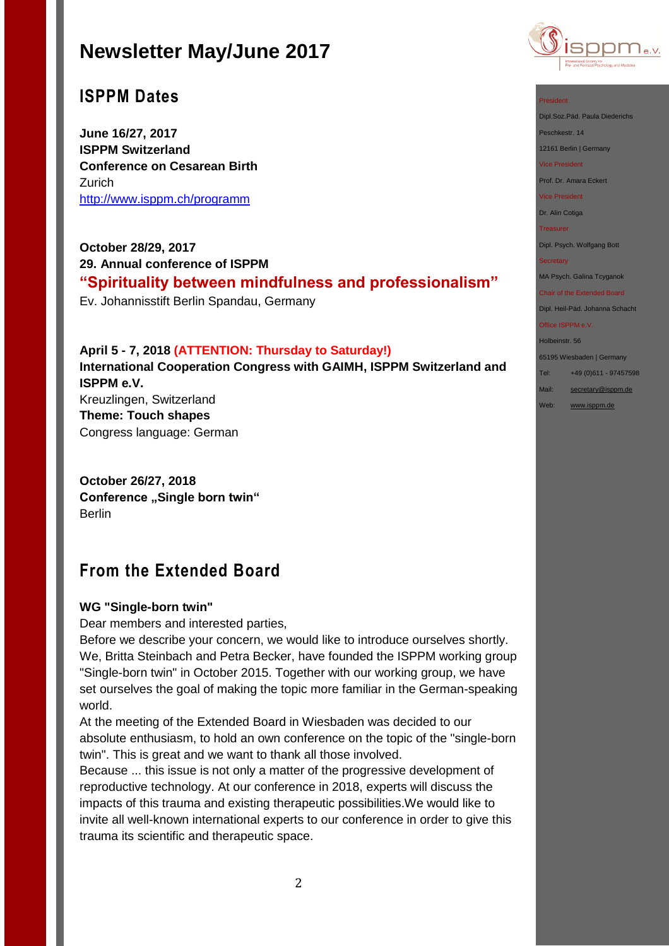## **ISPPM Dates**

**June 16/27, 2017 ISPPM Switzerland Conference on Cesarean Birth** Zurich <http://www.isppm.ch/programm>

**October 28/29, 2017 29. Annual conference of ISPPM "Spirituality between mindfulness and professionalism"** Ev. Johannisstift Berlin Spandau, Germany

### **April 5 - 7, 2018 (ATTENTION: Thursday to Saturday!)**

**International Cooperation Congress with GAIMH, ISPPM Switzerland and ISPPM e.V.** Kreuzlingen, Switzerland **Theme: Touch shapes**

Congress language: German

**October 26/27, 2018 Conference ,,Single born twin"** Berlin

## **From the Extended Board**

### **WG "Single-born twin"**

Dear members and interested parties,

Before we describe your concern, we would like to introduce ourselves shortly. We, Britta Steinbach and Petra Becker, have founded the ISPPM working group "Single-born twin" in October 2015. Together with our working group, we have set ourselves the goal of making the topic more familiar in the German-speaking world.

At the meeting of the Extended Board in Wiesbaden was decided to our absolute enthusiasm, to hold an own conference on the topic of the "single-born twin". This is great and we want to thank all those involved.

Because ... this issue is not only a matter of the progressive development of reproductive technology. At our conference in 2018, experts will discuss the impacts of this trauma and existing therapeutic possibilities.We would like to invite all well-known international experts to our conference in order to give this trauma its scientific and therapeutic space.



#### President

Dipl.Soz.Päd. Paula Diederichs

Peschkestr. 14

12161 Berlin | Germany

Vice President

Prof. Dr. Amara Eckert

Vice President

Dr. Alin Cotiga

**Treasurer** 

Dipl. Psych. Wolfgang Bott

#### **Secretary**

MA Psych. Galina Tcyganok

Chair of the Extended Board Dipl. Heil-Päd. Johanna Schacht

Office ISPPM e.V. Holbeinstr. 56

65195 Wiesbaden | Germany

Tel: +49 (0)611 - 97457598

Mail: [secretary@isppm.de](mailto:secretary@isppm.de)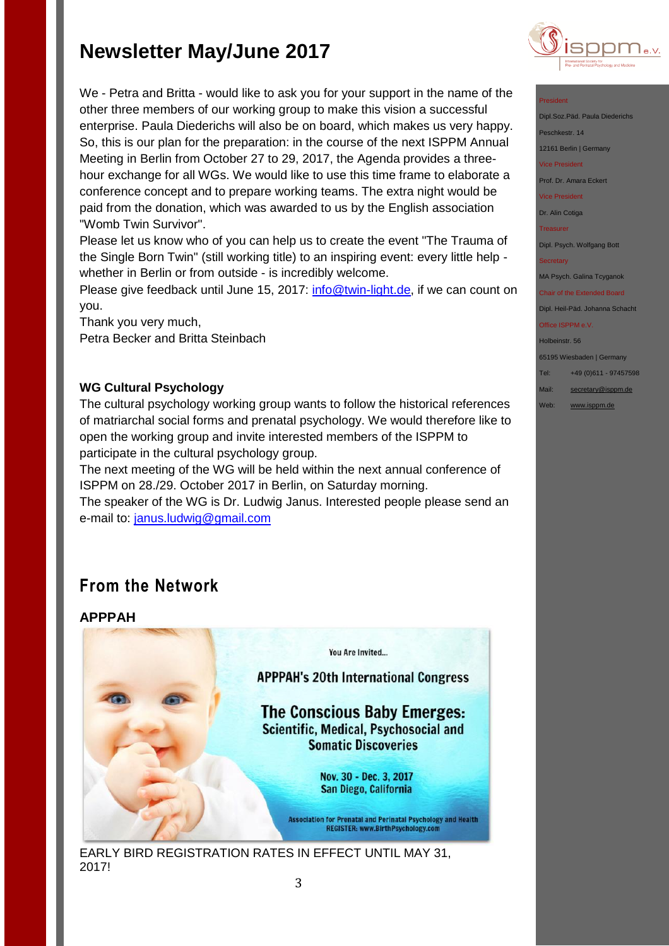We - Petra and Britta - would like to ask you for your support in the name of the other three members of our working group to make this vision a successful enterprise. Paula Diederichs will also be on board, which makes us very happy. So, this is our plan for the preparation: in the course of the next ISPPM Annual Meeting in Berlin from October 27 to 29, 2017, the Agenda provides a threehour exchange for all WGs. We would like to use this time frame to elaborate a conference concept and to prepare working teams. The extra night would be paid from the donation, which was awarded to us by the English association "Womb Twin Survivor".

Please let us know who of you can help us to create the event "The Trauma of the Single Born Twin" (still working title) to an inspiring event: every little help whether in Berlin or from outside - is incredibly welcome.

Please give feedback until June 15, 2017: [info@twin-light.de,](mailto:info@twin-light.de) if we can count on you.

Thank you very much, Petra Becker and Britta Steinbach

### **WG Cultural Psychology**

The cultural psychology working group wants to follow the historical references of matriarchal social forms and prenatal psychology. We would therefore like to open the working group and invite interested members of the ISPPM to participate in the cultural psychology group.

The next meeting of the WG will be held within the next annual conference of ISPPM on 28./29. October 2017 in Berlin, on Saturday morning.

The speaker of the WG is Dr. Ludwig Janus. Interested people please send an e-mail to: [janus.ludwig@gmail.com](mailto:janus.ludwig@gmail.com)

## **From the Network**

**APPPAH**

You Are Invited...

**APPPAH's 20th International Congress** 

**The Conscious Baby Emerges:** Scientific, Medical, Psychosocial and **Somatic Discoveries** 

> Nov. 30 - Dec. 3, 2017 San Diego, California

**Association for Prenatal and Perinatal Psychology and Health** REGISTER: www.BirthPsychology.com

EARLY BIRD REGISTRATION RATES IN EFFECT UNTIL MAY 31, 2017!



#### President

- Dipl.Soz.Päd. Paula Diede
- Peschkestr. 14
- 12161 Berlin | Germany
- Vice President
- Prof. Dr. Amara Eckert
- Vice President

Dr. Alin Cotiga

Treasurer

Dipl. Psych. Wolfgang Bott

**Secretary** 

MA Psych. Galina Tcyganok

Chair of the Extended Board Dipl. Heil-Päd. Johanna Schacht

## Office ISPPM e.V.

Holbeinstr. 56 65195 Wiesbaden | Germany

- Tel: +49 (0)611 97457598 Mail: [secretary@isppm.de](mailto:secretary@isppm.de)
- Web: [www.isppm.de](http://www.isppm.de/)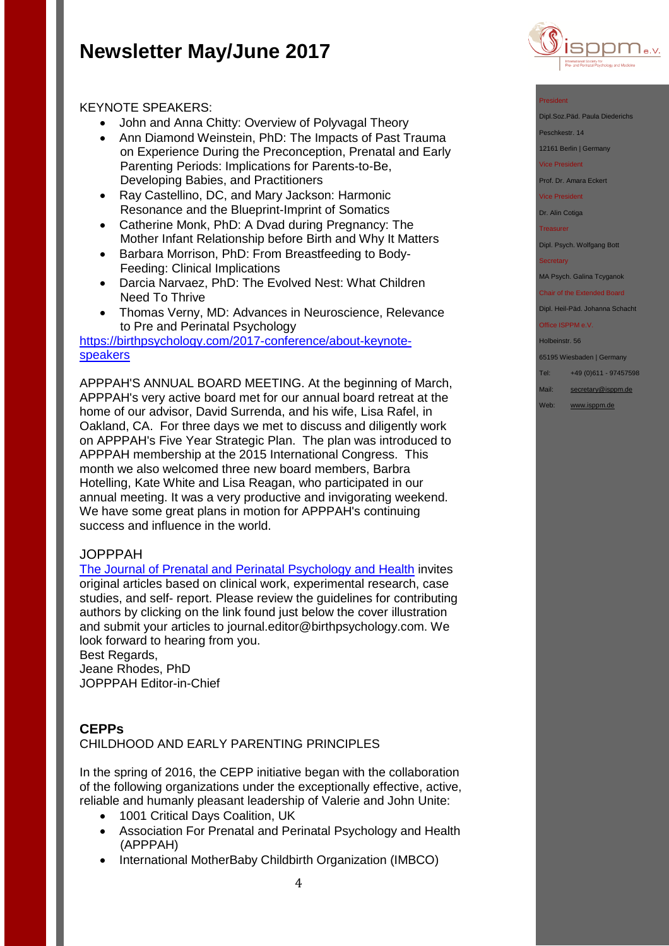

- John and Anna Chitty: Overview of Polyvagal Theory
- Ann Diamond Weinstein, PhD: The Impacts of Past Trauma on Experience During the Preconception, Prenatal and Early Parenting Periods: Implications for Parents-to-Be, Developing Babies, and Practitioners
- Ray Castellino, DC, and Mary Jackson: Harmonic Resonance and the Blueprint-Imprint of Somatics
- Catherine Monk, PhD: A Dvad during Pregnancy: The Mother Infant Relationship before Birth and Why It Matters
- Barbara Morrison, PhD: From Breastfeeding to Body-Feeding: Clinical Implications
- Darcia Narvaez, PhD: The Evolved Nest: What Children Need To Thrive
- Thomas Verny, MD: Advances in Neuroscience, Relevance to Pre and Perinatal Psychology

[https://birthpsychology.com/2017-conference/about-keynote](https://birthpsychology.com/2017-conference/about-keynote-speakers)[speakers](https://birthpsychology.com/2017-conference/about-keynote-speakers)

APPPAH'S ANNUAL BOARD MEETING. At the beginning of March, APPPAH's very active board met for our annual board retreat at the home of our advisor, David Surrenda, and his wife, Lisa Rafel, in Oakland, CA. For three days we met to discuss and diligently work on APPPAH's Five Year Strategic Plan. The plan was introduced to APPPAH membership at the 2015 International Congress. This month we also welcomed three new board members, Barbra Hotelling, Kate White and Lisa Reagan, who participated in our annual meeting. It was a very productive and invigorating weekend. We have some great plans in motion for APPPAH's continuing success and influence in the world.

## JOPPPAH

[The Journal of Prenatal and Perinatal Psychology and Health](https://birthpsychology.com/journals) invites original articles based on clinical work, experimental research, case studies, and self- report. Please review the guidelines for contributing authors by clicking on the link found just below the cover illustration and submit your articles to journal.editor@birthpsychology.com. We look forward to hearing from you.

Best Regards, Jeane Rhodes, PhD JOPPPAH Editor-in-Chief

## **CEPPs**

CHILDHOOD AND EARLY PARENTING PRINCIPLES

In the spring of 2016, the CEPP initiative began with the collaboration of the following organizations under the exceptionally effective, active, reliable and humanly pleasant leadership of Valerie and John Unite:

- 1001 Critical Days Coalition, UK
- Association For Prenatal and Perinatal Psychology and Health (APPPAH)
- International MotherBaby Childbirth Organization (IMBCO)



#### President

Dipl.Soz.Päd. Paula Diederichs

Peschkestr. 14

12161 Berlin | Germany

Vice President

Prof. Dr. Amara Eckert

Vice President

Dr. Alin Cotiga

**Treasurer** 

Dipl. Psych. Wolfgang Bott

#### **Secretary**

MA Psych. Galina Tcyganok

Chair of the Extended Board Dipl. Heil-Päd. Johanna Schacht

Office ISPPM e.V.

Holbeinstr. 56

65195 Wiesbaden | Germany

Tel: +49 (0)611 - 97457598

Mail: [secretary@isppm.de](mailto:secretary@isppm.de)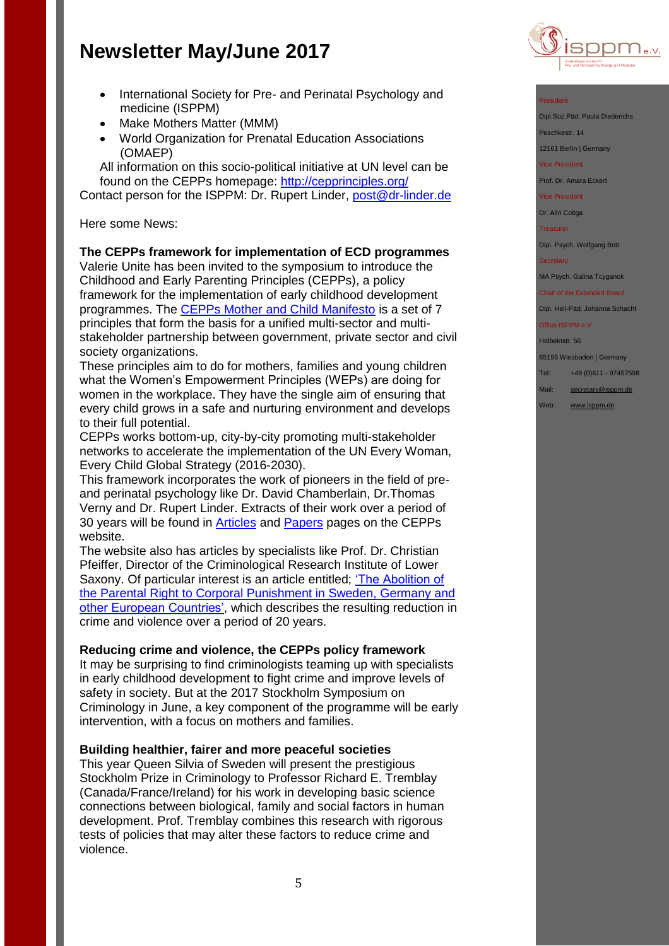- International Society for Pre- and Perinatal Psychology and medicine (ISPPM)
- Make Mothers Matter (MMM)
- World Organization for Prenatal Education Associations (OMAEP)

All information on this socio-political initiative at UN level can be found on the CEPPs homepage:<http://cepprinciples.org/>

Contact person for the ISPPM: Dr. Rupert Linder, [post@dr-linder.de](mailto:post@dr-linder.de)

#### Here some News:

#### **The CEPPs framework for implementation of ECD programmes**

Valerie Unite has been invited to the symposium to introduce the Childhood and Early Parenting Principles (CEPPs), a policy framework for the implementation of early childhood development programmes. The [CEPPs Mother and Child Manifesto](http://4205ue3shx073sta912mhsbl.wpengine.netdna-cdn.com/wp-content/uploads/2017/04/CEPPs-Manifesto-A4-April-2017.pdf) is a set of 7 principles that form the basis for a unified multi-sector and multistakeholder partnership between government, private sector and civil society organizations.

These principles aim to do for mothers, families and young children what the Women's Empowerment Principles (WEPs) are doing for women in the workplace. They have the single aim of ensuring that every child grows in a safe and nurturing environment and develops to their full potential.

CEPPs works bottom-up, city-by-city promoting multi-stakeholder networks to accelerate the implementation of the UN Every Woman, Every Child Global Strategy (2016-2030).

This framework incorporates the work of pioneers in the field of preand perinatal psychology like Dr. David Chamberlain, Dr.Thomas Verny and Dr. Rupert Linder. Extracts of their work over a period of 30 years will be found in **Articles** and **Papers** pages on the CEPPs website.

The website also has articles by specialists like Prof. Dr. Christian Pfeiffer, Director of the Criminological Research Institute of Lower Saxony. Of particular interest is an article entitled; ['The Abolition of](http://cepprinciples.org/effects-abolition-corporal-punishment-european-countries/)  [the Parental Right to Corporal Punishment in Sweden, Germany and](http://cepprinciples.org/effects-abolition-corporal-punishment-european-countries/)  [other European Countries',](http://cepprinciples.org/effects-abolition-corporal-punishment-european-countries/) which describes the resulting reduction in crime and violence over a period of 20 years.

#### **Reducing crime and violence, the CEPPs policy framework**

It may be surprising to find criminologists teaming up with specialists in early childhood development to fight crime and improve levels of safety in society. But at the 2017 Stockholm Symposium on Criminology in June, a key component of the programme will be early intervention, with a focus on mothers and families.

#### **Building healthier, fairer and more peaceful societies**

This year Queen Silvia of Sweden will present the prestigious Stockholm Prize in Criminology to Professor Richard E. Tremblay (Canada/France/Ireland) for his work in developing basic science connections between biological, family and social factors in human development. Prof. Tremblay combines this research with rigorous tests of policies that may alter these factors to reduce crime and violence.



#### President

Dipl.Soz.Päd. Paula Diederichs

Peschkestr. 14

12161 Berlin | Germany

Vice President

Prof. Dr. Amara Eckert

Vice President

Dr. Alin Cotiga

**Treasurer** 

Dipl. Psych. Wolfgang Bott

#### **Secretary**

MA Psych. Galina Tcyganok

Chair of the Extended Board Dipl. Heil-Päd. Johanna Schacht

Office ISPPM e.V.

Holbeinstr. 56

65195 Wiesbaden | Germany

Tel: +49 (0)611 - 97457598

Mail: [secretary@isppm.de](mailto:secretary@isppm.de)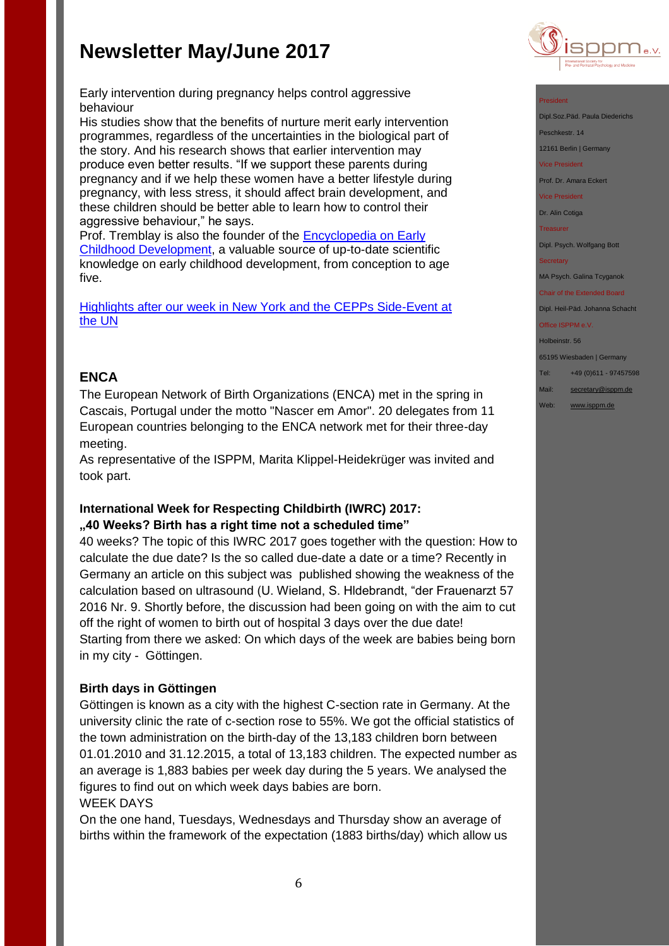

Early intervention during pregnancy helps control aggressive behaviour

His studies show that the benefits of nurture merit early intervention programmes, regardless of the uncertainties in the biological part of the story. And his research shows that earlier intervention may produce even better results. "If we support these parents during pregnancy and if we help these women have a better lifestyle during pregnancy, with less stress, it should affect brain development, and these children should be better able to learn how to control their aggressive behaviour," he says.

Prof. Tremblay is also the founder of the [Encyclopedia on Early](http://www.child-encyclopedia.com/)  [Childhood Development,](http://www.child-encyclopedia.com/) a valuable source of up-to-date scientific knowledge on early childhood development, from conception to age five.

[Highlights after our week in New York and the CEPPs Side-Event at](http://cepprinciples.org/highlights-week-new-york-cepps-side-event-un/)  [the UN](http://cepprinciples.org/highlights-week-new-york-cepps-side-event-un/)

## **ENCA**

The European Network of Birth Organizations (ENCA) met in the spring in Cascais, Portugal under the motto "Nascer em Amor". 20 delegates from 11 European countries belonging to the ENCA network met for their three-day meeting.

As representative of the ISPPM, Marita Klippel-Heidekrüger was invited and took part.

### **International Week for Respecting Childbirth (IWRC) 2017: "40 Weeks? Birth has a right time not a scheduled time"**

40 weeks? The topic of this IWRC 2017 goes together with the question: How to calculate the due date? Is the so called due-date a date or a time? Recently in Germany an article on this subject was published showing the weakness of the calculation based on ultrasound (U. Wieland, S. Hldebrandt, "der Frauenarzt 57 2016 Nr. 9. Shortly before, the discussion had been going on with the aim to cut off the right of women to birth out of hospital 3 days over the due date! Starting from there we asked: On which days of the week are babies being born in my city - Göttingen.

## **Birth days in Göttingen**

Göttingen is known as a city with the highest C-section rate in Germany. At the university clinic the rate of c-section rose to 55%. We got the official statistics of the town administration on the birth-day of the 13,183 children born between 01.01.2010 and 31.12.2015, a total of 13,183 children. The expected number as an average is 1,883 babies per week day during the 5 years. We analysed the figures to find out on which week days babies are born. WEEK DAYS

On the one hand, Tuesdays, Wednesdays and Thursday show an average of births within the framework of the expectation (1883 births/day) which allow us

#### President

Dipl.Soz.Päd. Paula Diederichs

Peschkestr. 14

12161 Berlin | Germany

Vice President

Prof. Dr. Amara Eckert

Vice President

Dr. Alin Cotiga

**Treasurer** 

Dipl. Psych. Wolfgang Bott

#### **Secretary**

MA Psych. Galina Tcyganok

Chair of the Extended Board Dipl. Heil-Päd. Johanna Schacht

#### Office ISPPM e.V.

Holbeinstr. 56 65195 Wiesbaden | Germany Tel: +49 (0)611 - 97457598 Mail: [secretary@isppm.de](mailto:secretary@isppm.de)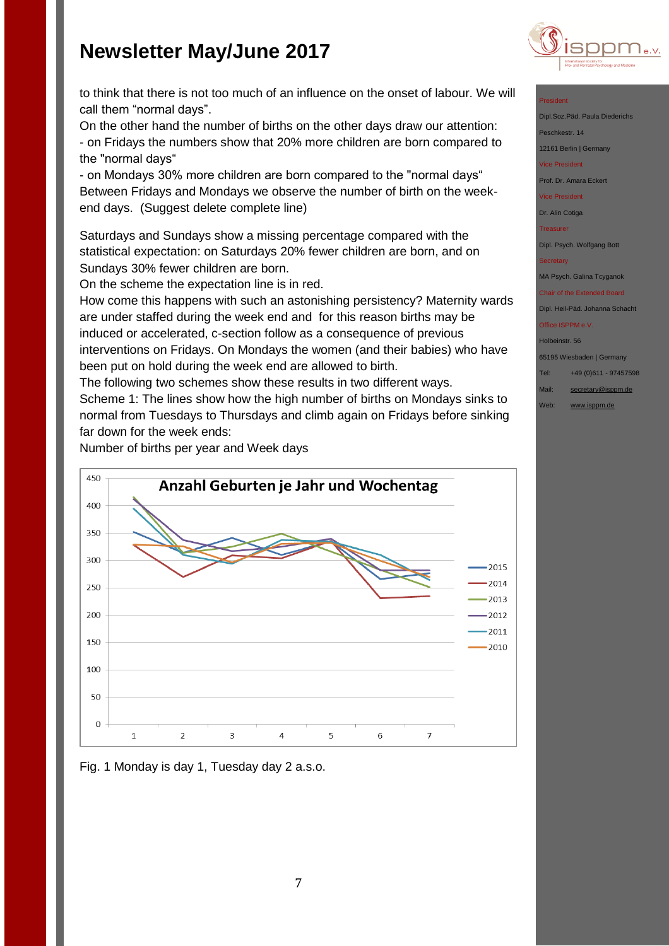

to think that there is not too much of an influence on the onset of labour. We will call them "normal days".

On the other hand the number of births on the other days draw our attention: - on Fridays the numbers show that 20% more children are born compared to the "normal days"

- on Mondays 30% more children are born compared to the "normal days" Between Fridays and Mondays we observe the number of birth on the weekend days. (Suggest delete complete line)

Saturdays and Sundays show a missing percentage compared with the statistical expectation: on Saturdays 20% fewer children are born, and on Sundays 30% fewer children are born.

On the scheme the expectation line is in red.

How come this happens with such an astonishing persistency? Maternity wards are under staffed during the week end and for this reason births may be induced or accelerated, c-section follow as a consequence of previous interventions on Fridays. On Mondays the women (and their babies) who have been put on hold during the week end are allowed to birth.

The following two schemes show these results in two different ways. Scheme 1: The lines show how the high number of births on Mondays sinks to normal from Tuesdays to Thursdays and climb again on Fridays before sinking far down for the week ends:

Number of births per year and Week days





#### President

- Dipl.Soz.Päd. Paula Died
- eschkestr. 14
- 12161 Berlin | Germany
- Vice President

Prof. Dr. Amara Eckert

Vice President

Dr. Alin Cotiga

Treasurer

Dipl. Psych. Wolfgang Bott

#### Secretary

MA Psych. Galina Tcyganok

#### Chair of the Extended Board

Dipl. Heil-Päd. Johanna Schacht Office ISPPM e.V

### Holbeinstr. 56

65195 Wiesbaden | Germany

### Tel: +49 (0)611 - 97457598

Mail: [secretary@isppm.de](mailto:secretary@isppm.de)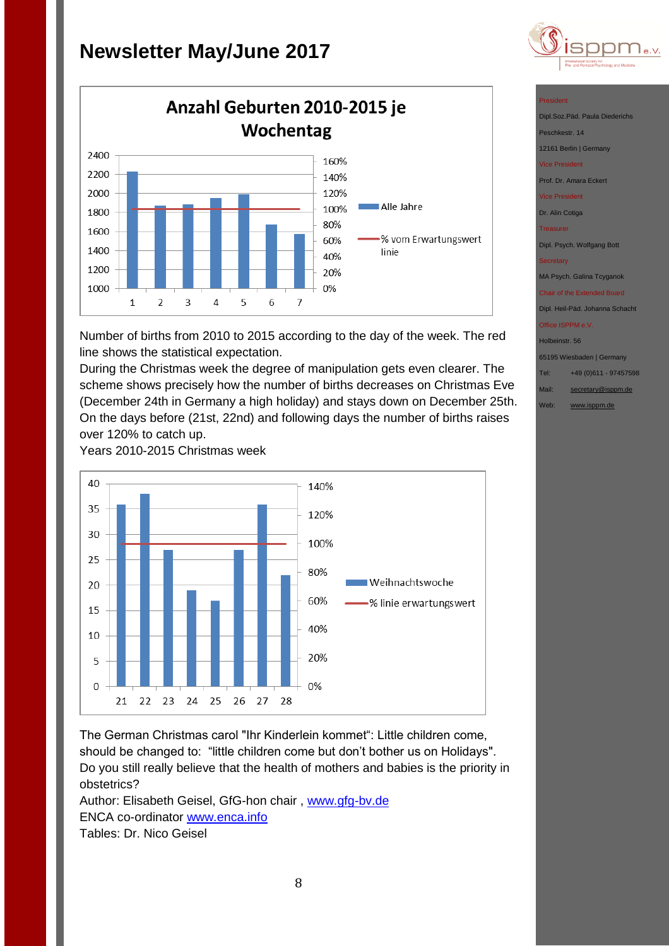

Number of births from 2010 to 2015 according to the day of the week. The red line shows the statistical expectation.

During the Christmas week the degree of manipulation gets even clearer. The scheme shows precisely how the number of births decreases on Christmas Eve (December 24th in Germany a high holiday) and stays down on December 25th. On the days before (21st, 22nd) and following days the number of births raises over 120% to catch up.

Years 2010-2015 Christmas week



The German Christmas carol "Ihr Kinderlein kommet": Little children come, should be changed to: "little children come but don't bother us on Holidays". Do you still really believe that the health of mothers and babies is the priority in obstetrics?

Author: Elisabeth Geisel, GfG-hon chair, [www.gfg-bv.de](http://www.gfg-bv.de/) ENCA co-ordinator [www.enca.info](http://www.enca.info/) Tables: Dr. Nico Geisel



#### President

Dipl.Soz.Päd. Paula Diede

eschkestr. 14

12161 Berlin | Germany

ice President

Prof. Dr. Amara Eckert

Vice President

Dr. Alin Cotiga

Treasurer

Dipl. Psych. Wolfgang Bott

MA Psych. Galina Tcyganok

Chair of the Extended Board Dipl. Heil-Päd. Johanna Schacht

Office ISPPM e.V.

Holbeinstr. 56

65195 Wiesbaden | Germany

Tel: +49 (0)611 - 97457598

Mail: [secretary@isppm.de](mailto:secretary@isppm.de)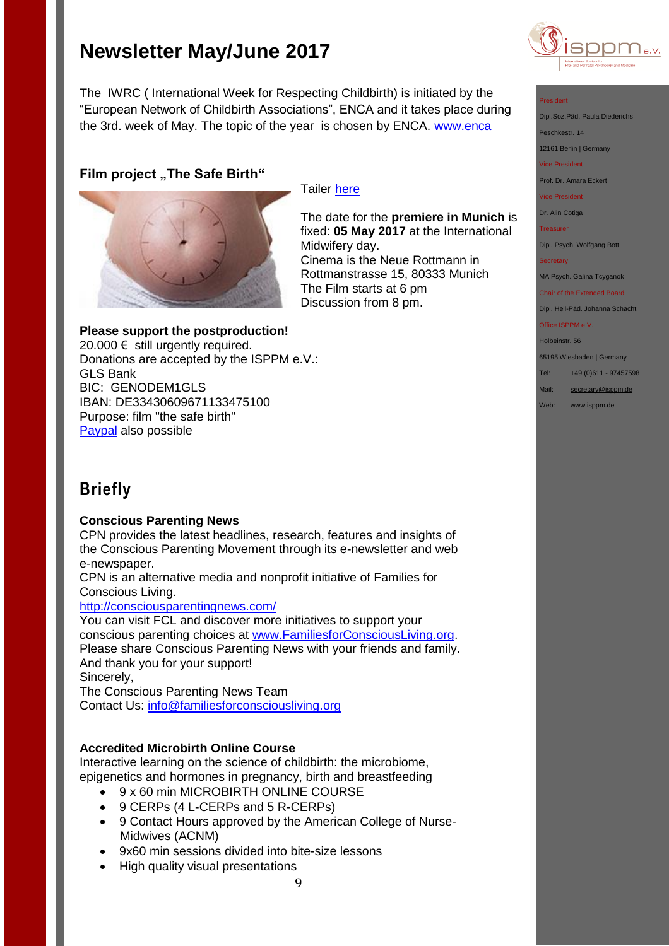The IWRC ( International Week for Respecting Childbirth) is initiated by the "European Network of Childbirth Associations", ENCA and it takes place during the 3rd. week of May. The topic of the year is chosen by ENCA. [www.enca](http://www.enca/)

## **Film project "The Safe Birth"**



### Tailer [here](http://www.isppm.de/en/donate/)

The date for the **premiere in Munich** is fixed: **05 May 2017** at the International Midwifery day. Cinema is the Neue Rottmann in Rottmanstrasse 15, 80333 Munich The Film starts at 6 pm Discussion from 8 pm.

### **Please support the postproduction!**

20.000  $€$  still urgently required. Donations are accepted by the ISPPM e.V.: GLS Bank BIC: GENODEM1GLS IBAN: DE33430609671133475100 Purpose: film "the safe birth" [Paypal](http://www.isppm.de/en/donate/) also possible

## **Briefly**

### **Conscious Parenting News**

CPN provides the latest headlines, research, features and insights of the Conscious Parenting Movement through its e-newsletter and web e-newspaper.

CPN is an alternative media and nonprofit initiative of Families for Conscious Living.

### <http://consciousparentingnews.com/>

You can visit FCL and discover more initiatives to support your conscious parenting choices at [www.FamiliesforConsciousLiving.org.](http://www.familiesforconsciousliving.org/) Please share Conscious Parenting News with your friends and family. And thank you for your support! Sincerely,

The Conscious Parenting News Team Contact Us: [info@familiesforconsciousliving.org](mailto:info@familiesforconsciousliving.org)

### **Accredited Microbirth Online Course**

Interactive learning on the science of childbirth: the microbiome, epigenetics and hormones in pregnancy, birth and breastfeeding

- 9 x 60 min MICROBIRTH ONLINE COURSE
- 9 CERPs (4 L-CERPs and 5 R-CERPs)
- 9 Contact Hours approved by the American College of Nurse-Midwives (ACNM)
- 9x60 min sessions divided into bite-size lessons
- High quality visual presentations

9



#### President

Dipl.Soz.Päd. Paula Diederichs

Peschkestr. 14

12161 Berlin | Germany

Vice President

Prof. Dr. Amara Eckert

Vice President

Dr. Alin Cotiga

**Treasurer** 

Dipl. Psych. Wolfgang Bott

**Secretary** 

MA Psych. Galina Tcyganok

Chair of the Extended Board Dipl. Heil-Päd. Johanna Schacht

Office ISPPM e.V.

Holbeinstr. 56

65195 Wiesbaden | Germany

Tel: +49 (0)611 - 97457598

Mail: [secretary@isppm.de](mailto:secretary@isppm.de)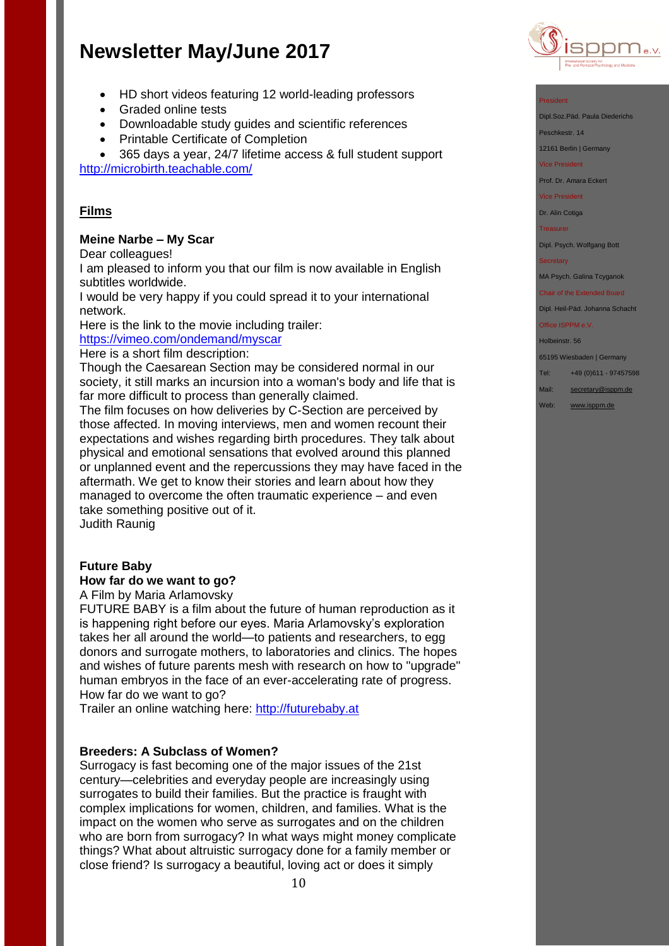- HD short videos featuring 12 world-leading professors
- Graded online tests
- Downloadable study guides and scientific references
- Printable Certificate of Completion

 365 days a year, 24/7 lifetime access & full student support <http://microbirth.teachable.com/>

### **Films**

### **Meine Narbe – My Scar**

Dear colleagues!

I am pleased to inform you that our film is now available in English subtitles worldwide.

I would be very happy if you could spread it to your international network.

Here is the link to the movie including trailer:

<https://vimeo.com/ondemand/myscar>

Here is a short film description:

Though the Caesarean Section may be considered normal in our society, it still marks an incursion into a woman's body and life that is far more difficult to process than generally claimed.

The film focuses on how deliveries by C-Section are perceived by those affected. In moving interviews, men and women recount their expectations and wishes regarding birth procedures. They talk about physical and emotional sensations that evolved around this planned or unplanned event and the repercussions they may have faced in the aftermath. We get to know their stories and learn about how they managed to overcome the often traumatic experience – and even take something positive out of it. Judith Raunig

**Future Baby**

### **How far do we want to go?**

A Film by Maria Arlamovsky

FUTURE BABY is a film about the future of human reproduction as it is happening right before our eyes. Maria Arlamovsky's exploration takes her all around the world—to patients and researchers, to egg donors and surrogate mothers, to laboratories and clinics. The hopes and wishes of future parents mesh with research on how to "upgrade" human embryos in the face of an ever-accelerating rate of progress. How far do we want to go?

Trailer an online watching here: [http://futurebaby.at](http://futurebaby.at/)

### **Breeders: A Subclass of Women?**

Surrogacy is fast becoming one of the major issues of the 21st century—celebrities and everyday people are increasingly using surrogates to build their families. But the practice is fraught with complex implications for women, children, and families. What is the impact on the women who serve as surrogates and on the children who are born from surrogacy? In what ways might money complicate things? What about altruistic surrogacy done for a family member or close friend? Is surrogacy a beautiful, loving act or does it simply



#### President

Dipl.Soz.Päd. Paula Diederichs

Peschkestr. 14

12161 Berlin | Germany

Vice President

Prof. Dr. Amara Eckert

#### Vice President

Dr. Alin Cotiga

#### **Treasurer**

Dipl. Psych. Wolfgang Bott

#### **Secretary**

MA Psych. Galina Tcyganok

#### Chair of the Extended Board Dipl. Heil-Päd. Johanna Schacht

Office ISPPM e.V.

Holbeinstr. 56

65195 Wiesbaden | Germany

Tel: +49 (0)611 - 97457598

Mail: [secretary@isppm.de](mailto:secretary@isppm.de)

Web: [www.isppm.de](http://www.isppm.de/)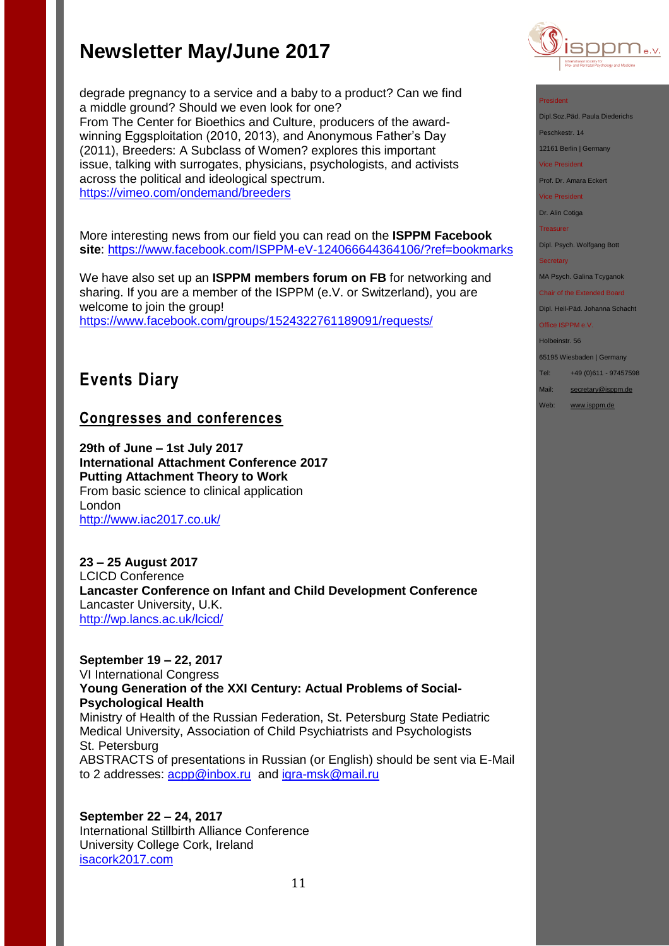degrade pregnancy to a service and a baby to a product? Can we find a middle ground? Should we even look for one? From The Center for Bioethics and Culture, producers of the awardwinning Eggsploitation (2010, 2013), and Anonymous Father's Day (2011), Breeders: A Subclass of Women? explores this important issue, talking with surrogates, physicians, psychologists, and activists across the political and ideological spectrum. <https://vimeo.com/ondemand/breeders>

More interesting news from our field you can read on the **ISPPM Facebook site**:<https://www.facebook.com/ISPPM-eV-124066644364106/?ref=bookmarks>

We have also set up an **ISPPM members forum on FB** for networking and sharing. If you are a member of the ISPPM (e.V. or Switzerland), you are welcome to join the group! <https://www.facebook.com/groups/1524322761189091/requests/>

## **Events Diary**

## **Congresses and conferences**

**29th of June – 1st July 2017 International Attachment Conference 2017 Putting Attachment Theory to Work**  From basic science to clinical application London <http://www.iac2017.co.uk/>

**23 – 25 August 2017** LCICD Conference **Lancaster Conference on Infant and Child Development Conference** Lancaster University, U.K. <http://wp.lancs.ac.uk/lcicd/>

**September 19 – 22, 2017** VI International Congress **Young Generation of the XXI Century: Actual Problems of Social-Psychological Health** Ministry of Health of the Russian Federation, St. Petersburg State Pediatric Medical University, Association of Child Psychiatrists and Psychologists St. Petersburg ABSTRACTS of presentations in Russian (or English) should be sent via E-Mail to 2 addresses: [acpp@inbox.ru](mailto:acpp@inbox.ru) and [igra-msk@mail.ru](mailto:igra-msk@mail.ru)

**September 22 – 24, 2017** International Stillbirth Alliance Conference University College Cork, Ireland [isacork2017.com](http://stillbirthalliance.us6.list-manage.com/track/click?u=811549f73d7f344e10a813f47&id=ca40d537d4&e=19741be71a)



#### President

Dipl.Soz.Päd. Paula Diederichs

Peschkestr. 14

12161 Berlin | Germany

Vice President

Prof. Dr. Amara Eckert

Vice President

Dr. Alin Cotiga

Treasurer

Dipl. Psych. Wolfgang Bott

**Secretary** 

MA Psych. Galina Tcyganok

Chair of the Extended Board Dipl. Heil-Päd. Johanna Schacht

Office ISPPM e.V.

Holbeinstr. 56 65195 Wiesbaden | Germany

Tel: +49 (0)611 - 97457598

Mail: [secretary@isppm.de](mailto:secretary@isppm.de)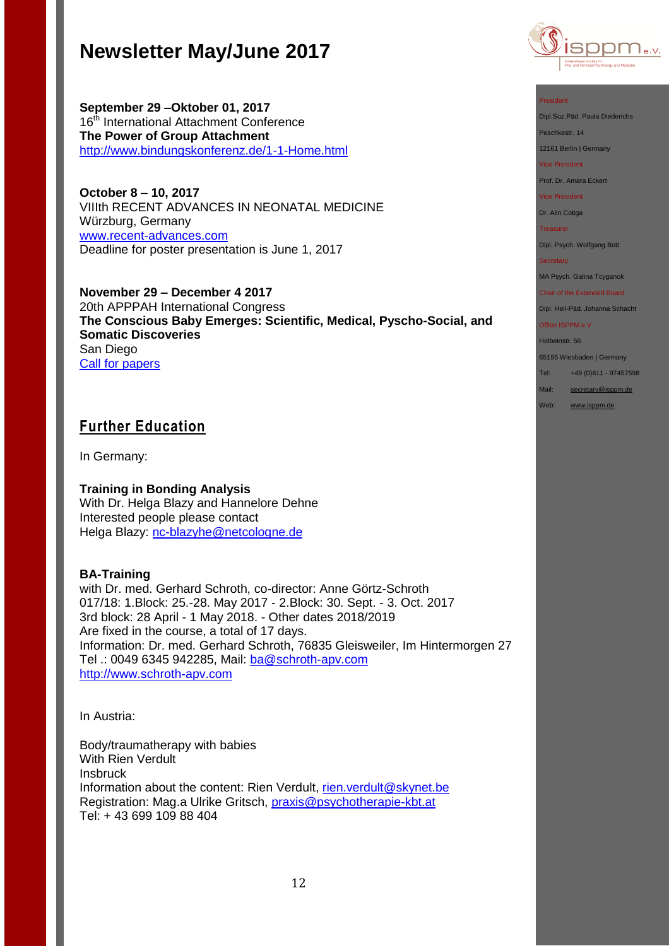**September 29 –Oktober 01, 2017** 16<sup>th</sup> International Attachment Conference **The Power of Group Attachment** <http://www.bindungskonferenz.de/1-1-Home.html>

**October 8 – 10, 2017** VIIIth RECENT ADVANCES IN NEONATAL MEDICINE Würzburg, Germany [www.recent-advances.com](http://www.recent-advances.com/) Deadline for poster presentation is June 1, 2017

**November 29 – December 4 2017** 20th APPPAH International Congress **The Conscious Baby Emerges: Scientific, Medical, Pyscho-Social, and Somatic Discoveries** San Diego [Call for papers](http://files.constantcontact.com/fb3f85b9001/8582d975-a8a5-4b7d-881a-07d043a425fc.pdf) 

## **Further Education**

In Germany:

**Training in Bonding Analysis** With Dr. Helga Blazy and Hannelore Dehne Interested people please contact Helga Blazy: [nc-blazyhe@netcologne.de](mailto:nc-blazyhe@netcologne.de)

### **BA-Training**

with Dr. med. Gerhard Schroth, co-director: Anne Görtz-Schroth 017/18: 1.Block: 25.-28. May 2017 - 2.Block: 30. Sept. - 3. Oct. 2017 3rd block: 28 April - 1 May 2018. - Other dates 2018/2019 Are fixed in the course, a total of 17 days. Information: Dr. med. Gerhard Schroth, 76835 Gleisweiler, Im Hintermorgen 27 Tel .: 0049 6345 942285, Mail: [ba@schroth-apv.com](mailto:ba@schroth-apv.com) [http://www.schroth-apv.com](http://www.schroth-apv.com/)

In Austria:

Body/traumatherapy with babies With Rien Verdult **Insbruck** Information about the content: Rien Verdult, [rien.verdult@skynet.be](mailto:rien.verdult@skynet.be) Registration: Mag.a Ulrike Gritsch, [praxis@psychotherapie-kbt.at](mailto:praxis@psychotherapie-kbt.at) Tel: + 43 699 109 88 404



#### President

Dipl.Soz.Päd. Paula Diederichs

Peschkestr. 14

12161 Berlin | Germany

Vice President

Prof. Dr. Amara Eckert

Vice President

Dr. Alin Cotiga

**Treasurer** 

Dipl. Psych. Wolfgang Bott

#### **Secretary**

MA Psych. Galina Tcyganok

Chair of the Extended Board Dipl. Heil-Päd. Johanna Schacht

Office ISPPM e.V.

Holbeinstr. 56

65195 Wiesbaden | Germany

Tel: +49 (0)611 - 97457598

Mail: [secretary@isppm.de](mailto:secretary@isppm.de)

Web: [www.isppm.de](http://www.isppm.de/)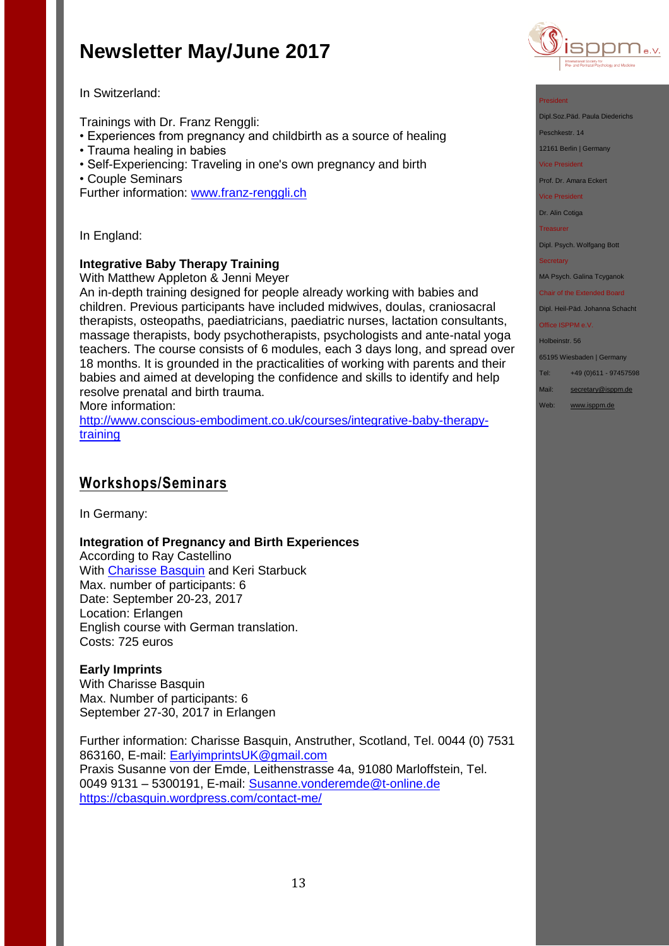

### In Switzerland:

Trainings with Dr. Franz Renggli:

- Experiences from pregnancy and childbirth as a source of healing
- Trauma healing in babies
- Self-Experiencing: Traveling in one's own pregnancy and birth
- Couple Seminars

Further information: [www.franz-renggli.ch](http://www.franz-renggli.ch/)

In England:

### **Integrative Baby Therapy Training**

With Matthew Appleton & Jenni Meyer

An in-depth training designed for people already working with babies and children. Previous participants have included midwives, doulas, craniosacral therapists, osteopaths, paediatricians, paediatric nurses, lactation consultants, massage therapists, body psychotherapists, psychologists and ante-natal yoga teachers. The course consists of 6 modules, each 3 days long, and spread over 18 months. It is grounded in the practicalities of working with parents and their babies and aimed at developing the confidence and skills to identify and help resolve prenatal and birth trauma.

More information:

[http://www.conscious-embodiment.co.uk/courses/integrative-baby-therapy](http://www.conscious-embodiment.co.uk/courses/integrative-baby-therapy-training)[training](http://www.conscious-embodiment.co.uk/courses/integrative-baby-therapy-training)

## **Workshops/Seminars**

In Germany:

### **Integration of Pregnancy and Birth Experiences**

According to Ray Castellino With [Charisse Basquin](https://cbasquin.wordpress.com/) and Keri Starbuck Max. number of participants: 6 Date: September 20-23, 2017 Location: Erlangen English course with German translation. Costs: 725 euros

#### **Early Imprints** With Charisse Basquin Max. Number of participants: 6

September 27-30, 2017 in Erlangen

Further information: Charisse Basquin, Anstruther, Scotland, Tel. 0044 (0) 7531 863160, E-mail: [EarlyimprintsUK@gmail.com](mailto:EarlyimprintsUK@gmail.com) Praxis Susanne von der Emde, Leithenstrasse 4a, 91080 Marloffstein, Tel. 0049 9131 – 5300191, E-mail: [Susanne.vonderemde@t-online.de](mailto:Susanne.vonderemde@t-online.de) <https://cbasquin.wordpress.com/contact-me/>

#### President

Dipl.Soz.Päd. Paula Diederichs

- Peschkestr. 14
- 12161 Berlin | Germany
- Vice President

Prof. Dr. Amara Eckert

Vice President

Dr. Alin Cotiga

**Treasurer** 

Dipl. Psych. Wolfgang Bott

#### **Secretary**

MA Psych. Galina Tcyganok

#### Chair of the Extended Board

Dipl. Heil-Päd. Johanna Schacht Office ISPPM e.V.

## Holbeinstr. 56

65195 Wiesbaden | Germany

- Tel: +49 (0)611 97457598
- Mail: [secretary@isppm.de](mailto:secretary@isppm.de)
- Web: [www.isppm.de](http://www.isppm.de/)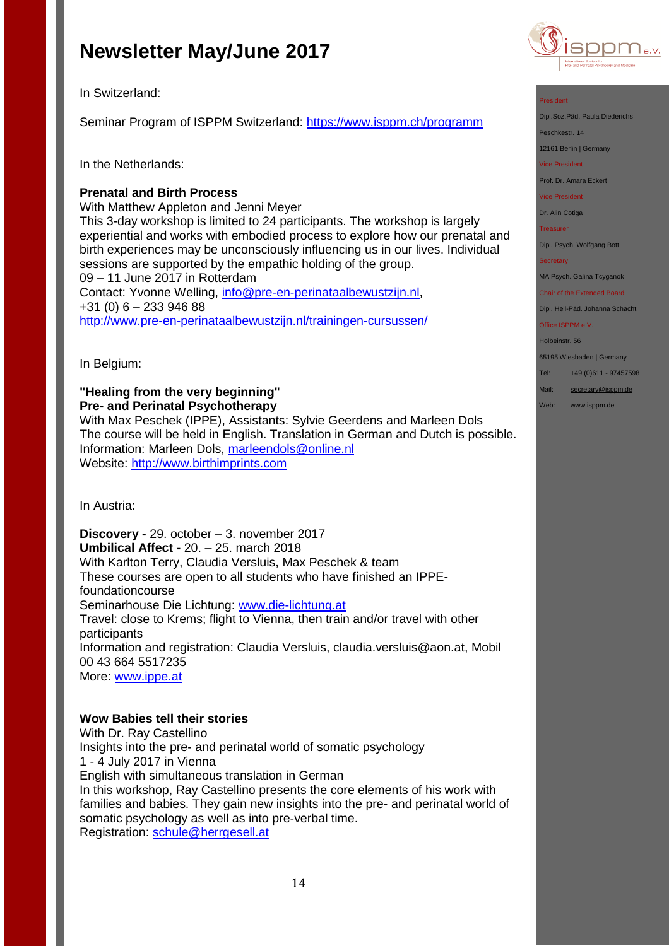In Switzerland:

Seminar Program of ISPPM Switzerland:<https://www.isppm.ch/programm>

In the Netherlands:

### **Prenatal and Birth Process**

With Matthew Appleton and Jenni Meyer This 3-day workshop is limited to 24 participants. The workshop is largely experiential and works with embodied process to explore how our prenatal and birth experiences may be unconsciously influencing us in our lives. Individual sessions are supported by the empathic holding of the group. 09 – 11 June 2017 in Rotterdam Contact: Yvonne Welling, [info@pre-en-perinataalbewustzijn.nl,](mailto:info@pre-en-perinataalbewustzijn.nl) +31 (0) 6 – 233 946 88 <http://www.pre-en-perinataalbewustzijn.nl/trainingen-cursussen/>

In Belgium:

## **"Healing from the very beginning" Pre- and Perinatal Psychotherapy**

With Max Peschek (IPPE), Assistants: Sylvie Geerdens and Marleen Dols The course will be held in English. Translation in German and Dutch is possible. Information: Marleen Dols, [marleendols@online.nl](mailto:marleendols@online.nl) Website: [http://www.birthimprints.com](http://www.birthimprints.com/)

In Austria:

**Discovery -** 29. october – 3. november 2017 **Umbilical Affect -** 20. – 25. march 2018 With Karlton Terry, Claudia Versluis, Max Peschek & team These courses are open to all students who have finished an IPPEfoundationcourse Seminarhouse Die Lichtung: [www.die-lichtung.at](http://www.die-lichtung.at/) Travel: close to Krems; flight to Vienna, then train and/or travel with other participants Information and registration: Claudia Versluis, claudia.versluis@aon.at, Mobil 00 43 664 5517235 More: [www.ippe.at](http://www.ippe.at/)

### **Wow Babies tell their stories**

With Dr. Ray Castellino Insights into the pre- and perinatal world of somatic psychology 1 - 4 July 2017 in Vienna English with simultaneous translation in German In this workshop, Ray Castellino presents the core elements of his work with families and babies. They gain new insights into the pre- and perinatal world of somatic psychology as well as into pre-verbal time. Registration: [schule@herrgesell.at](mailto:schule@herrgesell.at)



#### President

Dipl.Soz.Päd. Paula Diederichs

Peschkestr. 14

12161 Berlin | Germany

Vice President

Prof. Dr. Amara Eckert

Vice President

Dr. Alin Cotiga

**Treasurer** 

Dipl. Psych. Wolfgang Bott

**Secretary** 

MA Psych. Galina Tcyganok

Chair of the Extended Board Dipl. Heil-Päd. Johanna Schacht

Office ISPPM e.V.

Holbeinstr. 56

65195 Wiesbaden | Germany

Tel: +49 (0)611 - 97457598

Mail: [secretary@isppm.de](mailto:secretary@isppm.de)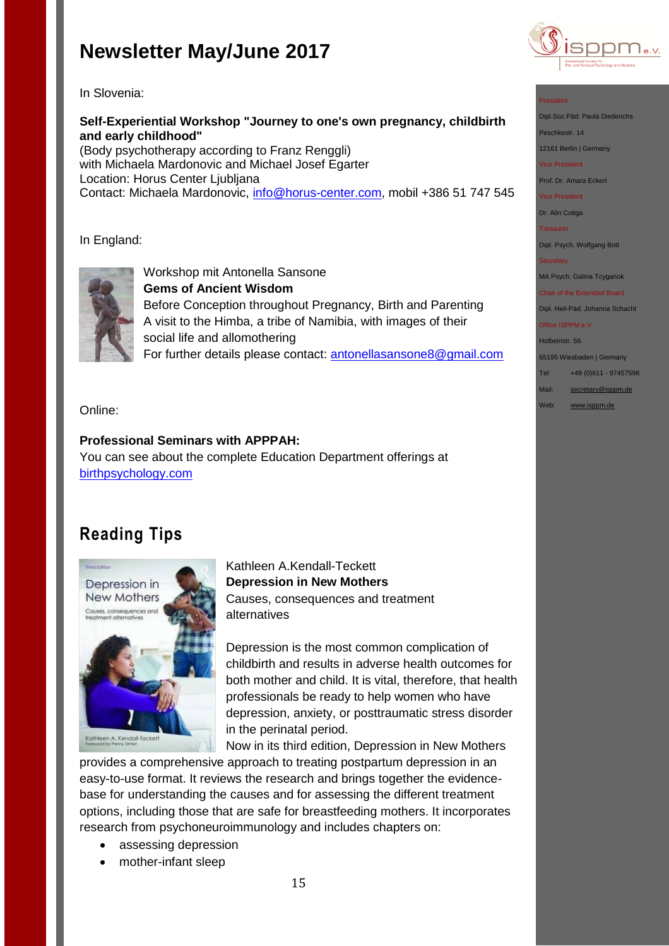

In Slovenia:

**Self-Experiential Workshop "Journey to one's own pregnancy, childbirth and early childhood"** 

(Body psychotherapy according to Franz Renggli) with Michaela Mardonovic and Michael Josef Egarter Location: Horus Center Ljubljana Contact: Michaela Mardonovic, [info@horus-center.com,](mailto:info@horus-center.com) mobil +386 51 747 545

In England:



Workshop mit Antonella Sansone **Gems of Ancient Wisdom** Before Conception throughout Pregnancy, Birth and Parenting A visit to the Himba, a tribe of Namibia, with images of their social life and allomothering For further details please contact: antonellasansone8@gmail.com

Online:

### **Professional Seminars with APPPAH:** You can see about the complete Education Department offerings at [birthpsychology.com](http://birthpsychology.com/)

## **Reading Tips**



Kathleen A.Kendall-Teckett **Depression in New Mothers** Causes, consequences and treatment alternatives

Depression is the most common complication of childbirth and results in adverse health outcomes for both mother and child. It is vital, therefore, that health professionals be ready to help women who have depression, anxiety, or posttraumatic stress disorder in the perinatal period.

Now in its third edition, Depression in New Mothers provides a comprehensive approach to treating postpartum depression in an easy-to-use format. It reviews the research and brings together the evidence-

base for understanding the causes and for assessing the different treatment options, including those that are safe for breastfeeding mothers. It incorporates research from psychoneuroimmunology and includes chapters on:

- assessing depression
- mother-infant sleep

#### President

Dipl.Soz.Päd. Paula Diederichs

Peschkestr. 14

12161 Berlin | Germany

Vice President

Prof. Dr. Amara Eckert

Vice President

Dr. Alin Cotiga

**Treasurer** 

Dipl. Psych. Wolfgang Bott

**Secretary** 

MA Psych. Galina Tcyganok

Chair of the Extended Board Dipl. Heil-Päd. Johanna Schacht

Office ISPPM e.V.

Holbeinstr. 56 65195 Wiesbaden | Germany

Tel: +49 (0)611 - 97457598

Mail: [secretary@isppm.de](mailto:secretary@isppm.de)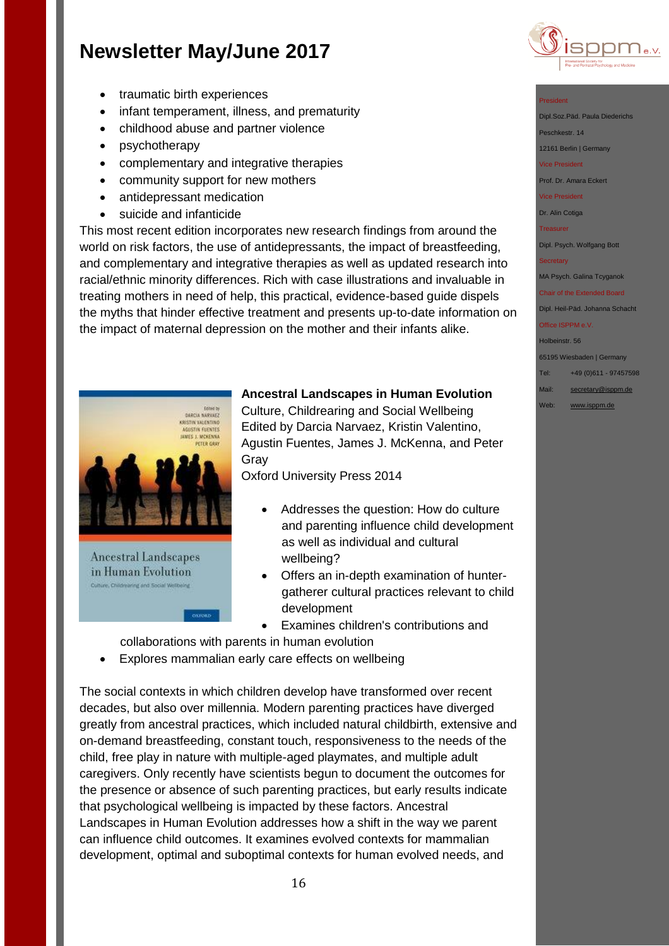

Dipl.Soz.Päd. Paula Diederichs

Dipl. Psych. Wolfgang Bott

MA Psych. Galina Tcyganok Chair of the Extended Board Dipl. Heil-Päd. Johanna Schacht

65195 Wiesbaden | Germany Tel: +49 (0)611 - 97457598 Mail: [secretary@isppm.de](mailto:secretary@isppm.de) Web: [www.isppm.de](http://www.isppm.de/)

**Secretary** 

Office ISPPM e.V. Holbeinstr. 56

President

Peschkestr. 14 12161 Berlin | Germany Vice President Prof. Dr. Amara Eckert Vice President Dr. Alin Cotiga **Treasurer** 

- traumatic birth experiences
- infant temperament, illness, and prematurity
- childhood abuse and partner violence
- psychotherapy
- complementary and integrative therapies
- community support for new mothers
- antidepressant medication
- suicide and infanticide

This most recent edition incorporates new research findings from around the world on risk factors, the use of antidepressants, the impact of breastfeeding, and complementary and integrative therapies as well as updated research into racial/ethnic minority differences. Rich with case illustrations and invaluable in treating mothers in need of help, this practical, evidence-based guide dispels the myths that hinder effective treatment and presents up-to-date information on the impact of maternal depression on the mother and their infants alike.



**Ancestral Landscapes** in Human Evolution Culture, Childreaning and Social Wellbeing

#### **Ancestral Landscapes in Human Evolution**

Culture, Childrearing and Social Wellbeing Edited by Darcia Narvaez, Kristin Valentino, Agustin Fuentes, James J. McKenna, and Peter Gray

Oxford University Press 2014

- Addresses the question: How do culture and parenting influence child development as well as individual and cultural wellbeing?
- Offers an in-depth examination of huntergatherer cultural practices relevant to child development
- Examines children's contributions and

collaborations with parents in human evolution

**OXFORD** 

Explores mammalian early care effects on wellbeing

The social contexts in which children develop have transformed over recent decades, but also over millennia. Modern parenting practices have diverged greatly from ancestral practices, which included natural childbirth, extensive and on-demand breastfeeding, constant touch, responsiveness to the needs of the child, free play in nature with multiple-aged playmates, and multiple adult caregivers. Only recently have scientists begun to document the outcomes for the presence or absence of such parenting practices, but early results indicate that psychological wellbeing is impacted by these factors. Ancestral Landscapes in Human Evolution addresses how a shift in the way we parent can influence child outcomes. It examines evolved contexts for mammalian development, optimal and suboptimal contexts for human evolved needs, and